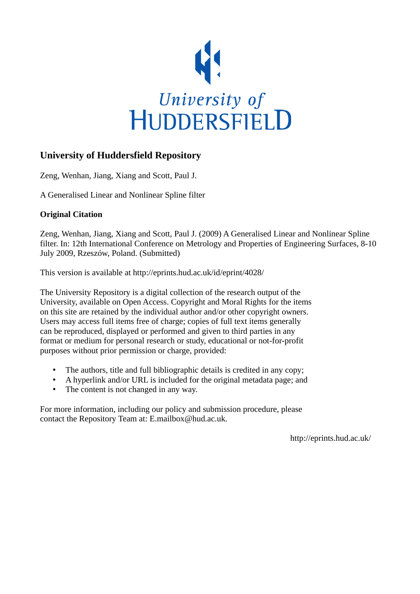

## **University of Huddersfield Repository**

Zeng, Wenhan, Jiang, Xiang and Scott, Paul J.

A Generalised Linear and Nonlinear Spline filter

## **Original Citation**

Zeng, Wenhan, Jiang, Xiang and Scott, Paul J. (2009) A Generalised Linear and Nonlinear Spline filter. In: 12th International Conference on Metrology and Properties of Engineering Surfaces, 8-10 July 2009, Rzeszów, Poland. (Submitted)

This version is available at http://eprints.hud.ac.uk/id/eprint/4028/

The University Repository is a digital collection of the research output of the University, available on Open Access. Copyright and Moral Rights for the items on this site are retained by the individual author and/or other copyright owners. Users may access full items free of charge; copies of full text items generally can be reproduced, displayed or performed and given to third parties in any format or medium for personal research or study, educational or not-for-profit purposes without prior permission or charge, provided:

- The authors, title and full bibliographic details is credited in any copy;
- A hyperlink and/or URL is included for the original metadata page; and
- The content is not changed in any way.

For more information, including our policy and submission procedure, please contact the Repository Team at: E.mailbox@hud.ac.uk.

http://eprints.hud.ac.uk/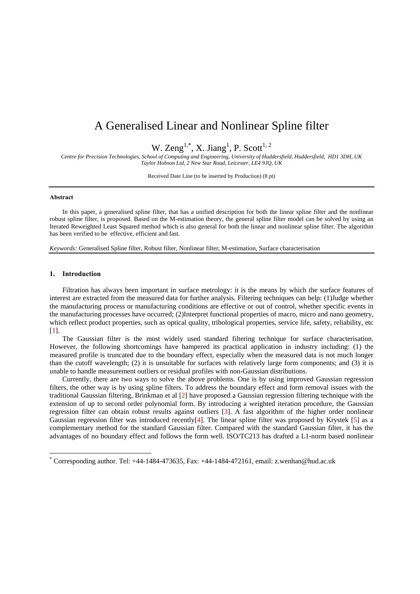# A Generalised Linear and Nonlinear Spline filter

W. Zeng<sup>1,\*</sup>, X. Jiang<sup>1</sup>, P. Scott<sup>1, 2</sup>

*Centre for Precision Technologies, School of Computing and Engineering, University of Huddersfield, Huddersfield, HD1 3DH, UK Taylor Hobson Ltd, 2 New Star Road, Leicester, LE4 9JQ, UK* 

Received Date Line (to be inserted by Production) (8 pt)

### **Abstract**

In this paper, a generalised spline filter, that has a unified description for both the linear spline filter and the nonlinear robust spline filter, is proposed. Based on the M-estimation theory, the general spline filter model can be solved by using an Iterated Reweighted Least Squared method which is also general for both the linear and nonlinear spline filter. The algorithm has been verified to be effective, efficient and fast.

*Keywords:* Generalised Spline filter, Robust filter, Nonlinear filter, M-estimation, Surface characterisation

## **1. Introduction**

<u>.</u>

Filtration has always been important in surface metrology: it is the means by which the surface features of interest are extracted from the measured data for further analysis. Filtering techniques can help: (1)Judge whether the manufacturing process or manufacturing conditions are effective or out of control, whether specific events in the manufacturing processes have occurred; (2)Interpret functional properties of macro, micro and nano geometry, which reflect product properties, such as optical quality, tribological properties, service life, safety, reliability, etc [1].

The Gaussian filter is the most widely used standard filtering technique for surface characterisation. However, the following shortcomings have hampered its practical application in industry including: (1) the measured profile is truncated due to the boundary effect, especially when the measured data is not much longer than the cutoff wavelength; (2) it is unsuitable for surfaces with relatively large form components; and (3) it is unable to handle measurement outliers or residual profiles with non-Gaussian distributions.

Currently, there are two ways to solve the above problems. One is by using improved Gaussian regression filters, the other way is by using spline filters. To address the boundary effect and form removal issues with the traditional Gaussian filtering, Brinkman et al [2] have proposed a Gaussian regression filtering technique with the extension of up to second order polynomial form. By introducing a weighted iteration procedure, the Gaussian regression filter can obtain robust results against outliers [3]. A fast algorithm of the higher order nonlinear Gaussian regression filter was introduced recently $[4]$ . The linear spline filter was proposed by Krystek [5] as a complementary method for the standard Gaussian filter. Compared with the standard Gaussian filter, it has the advantages of no boundary effect and follows the form well. ISO/TC213 has drafted a L1-norm based nonlinear

<sup>\*</sup> Corresponding author. Tel: +44-1484-473635, Fax: +44-1484-472161, email: z.wenhan@hud.ac.uk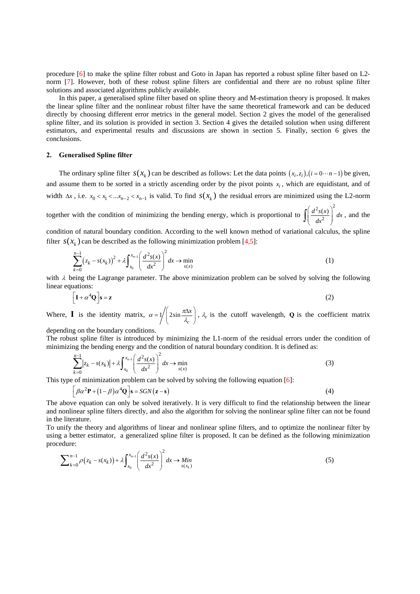procedure [6] to make the spline filter robust and Goto in Japan has reported a robust spline filter based on L2 norm [7]. However, both of these robust spline filters are confidential and there are no robust spline filter solutions and associated algorithms publicly available.

In this paper, a generalised spline filter based on spline theory and M-estimation theory is proposed. It makes the linear spline filter and the nonlinear robust filter have the same theoretical framework and can be deduced directly by choosing different error metrics in the general model. Section 2 gives the model of the generalised spline filter, and its solution is provided in section 3. Section 4 gives the detailed solution when using different estimators, and experimental results and discussions are shown in section 5. Finally, section 6 gives the conclusions.

#### **2. Generalised Spline filter**

The ordinary spline filter  $s(x_k)$  can be described as follows: Let the data points  $(x_i, z_i)$ ,  $(i = 0 \cdots n-1)$  be given, and assume them to be sorted in a strictly ascending order by the pivot points  $x_i$ , which are equidistant, and of width  $\Delta x$ , i.e.  $x_0 < x_1 < ... x_{n-2} < x_{n-1}$  is valid. To find  $s(x_k)$  the residual errors are minimized using the L2-norm

together with the condition of minimizing the bending energy, which is proportional to  $2_{c(x)}$ <sup>2</sup>  $\frac{d^2s(x)}{dx^2} dx$  $\int \left(\frac{d^2s(x)}{dx^2}\right)^2 dx$ , and the

condition of natural boundary condition. According to the well known method of variational calculus, the spline filter  $s(x_k)$  can be described as the following minimization problem [4,5]:

$$
\sum_{k=0}^{n-1} (z_k - s(x_k))^2 + \lambda \int_{x_0}^{x_{n-1}} \left( \frac{d^2 s(x)}{dx^2} \right)^2 dx \to \min_{s(x)} \tag{1}
$$

with  $\lambda$  being the Lagrange parameter. The above minimization problem can be solved by solving the following linear equations:

$$
\left[\mathbf{I} + \alpha^4 \mathbf{Q}\right] \mathbf{s} = \mathbf{z} \tag{2}
$$

Where, **I** is the identity matrix,  $\alpha = 1/2 \sin \alpha$ *c*  $\alpha = 1/2 \sin \frac{\pi \Delta x}{\lambda_c}$ ,  $\lambda_c$  is the cutoff wavelength, **Q** is the coefficient matrix

depending on the boundary conditions.

The robust spline filter is introduced by minimizing the L1-norm of the residual errors under the condition of minimizing the bending energy and the condition of natural boundary condition. It is defined as:

$$
\sum_{k=0}^{n-1} |z_k - s(x_k)| + \lambda \int_{x_0}^{x_{n-1}} \left( \frac{d^2 s(x)}{dx^2} \right)^2 dx \to \min_{s(x)} \tag{3}
$$

This type of minimization problem can be solved by solving the following equation [6]:

$$
\left[\beta\alpha^2 \mathbf{P} + (1-\beta)\alpha^4 \mathbf{Q}\right] \mathbf{s} = SGN(\mathbf{z} - \mathbf{s})
$$
\n(4)

The above equation can only be solved iteratively. It is very difficult to find the relationship between the linear and nonlinear spline filters directly, and also the algorithm for solving the nonlinear spline filter can not be found in the literature.

To unify the theory and algorithms of linear and nonlinear spline filters, and to optimize the nonlinear filter by using a better estimator, a generalized spline filter is proposed. It can be defined as the following minimization procedure:

$$
\sum_{k=0}^{n-1} \rho(z_k - s(x_k)) + \lambda \int_{x_0}^{x_{n-1}} \left(\frac{d^2 s(x)}{dx^2}\right)^2 dx \to \min_{s(x_k)} \tag{5}
$$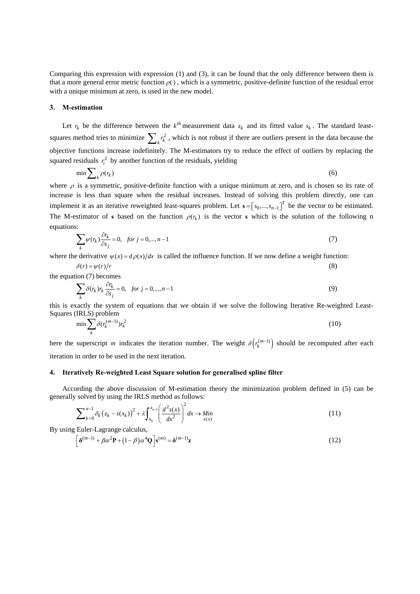Comparing this expression with expression (1) and (3), it can be found that the only difference between them is that a more general error metric function  $\rho(.)$ , which is a symmetric, positive-definite function of the residual error with a unique minimum at zero, is used in the new model.

#### **3. M-estimation**

Let  $r_k$  be the difference between the  $k^{th}$  measurement data  $z_k$  and its fitted value  $s_k$ . The standard leastsquares method tries to minimize  $\sum_{k} r_k^2$ , which is not robust if there are outliers present in the data because the objective functions increase indefinitely. The M-estimators try to reduce the effect of outliers by replacing the squared residuals  $r_i^2$  by another function of the residuals, yielding

$$
\min \sum_{k} \rho(r_k) \tag{6}
$$

where  $\rho$  is a symmetric, positive-definite function with a unique minimum at zero, and is chosen so its rate of increase is less than square when the residual increases. Instead of solving this problem directly, one can implement it as an iterative reweighted least-squares problem. Let  $\mathbf{s} = [s_0, ..., s_{n-1}]^T$  be the vector to be estimated. The M-estimator of **s** based on the function  $\rho(r_k)$  is the vector **s** which is the solution of the following n equations:

$$
\sum_{k} \psi(r_k) \frac{\partial r_k}{\partial s_j} = 0, \quad \text{for } j = 0, \dots, n-1 \tag{7}
$$

where the derivative  $\psi(x) = d\rho(x)/dx$  is called the influence function. If we now define a weight function:

$$
\delta(r) = \psi(r)/r \tag{8}
$$

the equation (7) becomes

$$
\sum_{k} \delta(r_k) r_k \frac{\partial r_k}{\partial s_j} = 0, \quad \text{for } j = 0, \dots, n-1
$$
 (9)

this is exactly the system of equations that we obtain if we solve the following Iterative Re-weighted Least-Squares (IRLS) problem

$$
\min \sum_{k} \delta(r_k^{(m-1)}) r_k^2 \tag{10}
$$

here the superscript *m* indicates the iteration number. The weight  $\delta(r_k^{(m-1)})$  should be recomputed after each iteration in order to be used in the next iteration.

#### **4. Iteratively Re-weighted Least Square solution for generalised spline filter**

According the above discussion of M-estimation theory the minimization problem defined in (5) can be generally solved by using the IRLS method as follows:

$$
\sum_{k=0}^{n-1} \delta_k (z_k - s(x_k))^2 + \lambda \int_{x_0}^{x_{n-1}} \left( \frac{d^2 s(x)}{dx^2} \right)^2 dx \to \lim_{s(x)} \tag{11}
$$

By using Euler-Lagrange calculus,

$$
\left[\delta^{(m-1)} + \beta \alpha^2 \mathbf{P} + (1-\beta) \alpha^4 \mathbf{Q}\right] \mathbf{s}^{(m)} = \delta^{(m-1)} \mathbf{z}
$$
\n(12)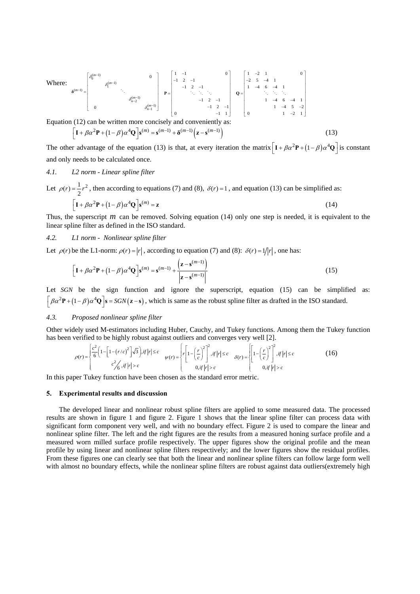Where:  
\n
$$
\delta^{(m-1)} = \begin{bmatrix}\n\delta_0^{(m-1)} & 0 & 0 \\
\delta_1^{(m-1)} & \ddots & 0 & 0 \\
\vdots & \ddots & \ddots & \ddots & \vdots \\
0 & 0 & \delta_{n-2}^{(m-1)}\n\end{bmatrix}\n\begin{bmatrix}\n1 & -1 & 0 & 0 \\
-1 & 2 & -1 & 0 \\
& -1 & 2 & -1 & 0 \\
& & \ddots & \ddots & \ddots \\
0 & & & -1 & 2 & -1 \\
0 & & & -1 & 2 & -1 \\
0 & & & & -1 & 1\n\end{bmatrix}\n\begin{bmatrix}\n1 & -2 & 1 & 0 \\
-2 & 5 & -4 & 1 \\
1 & -4 & 6 & -4 & 1 \\
& & \ddots & \ddots & \ddots \\
0 & & & 1 & -4 & 6 & -4 \\
& & & 1 & -4 & 5 & -2 \\
& & & & 1 & -2 & 1\n\end{bmatrix}
$$
\nEquation (12) can be written more concisely and conveniently as:  
\n
$$
\begin{bmatrix}\nI + \beta \alpha^2 P + (1 - \beta) \alpha^4 Q \end{bmatrix} s^{(m)} = s^{(m-1)} + \delta^{(m-1)} (z - s^{(m-1)})
$$
\n(13)

The other advantage of the equation (13) is that, at every iteration the matrix  $\left[ I + \beta \alpha^2 P + (1 - \beta) \alpha^4 Q \right]$  is constant and only needs to be calculated once.

## *4.1. L2 norm - Linear spline filter*

Let 
$$
\rho(r) = \frac{1}{2}r^2
$$
, then according to equations (7) and (8),  $\delta(r) = 1$ , and equation (13) can be simplified as:  
\n
$$
\left[\mathbf{I} + \beta \alpha^2 \mathbf{P} + (1 - \beta) \alpha^4 \mathbf{Q}\right] \mathbf{s}^{(m)} = \mathbf{z}
$$
\n(14)

Thus, the superscript  $m$  can be removed. Solving equation (14) only one step is needed, it is equivalent to the linear spline filter as defined in the ISO standard.

## *4.2. L1 norm - Nonlinear spline filter*

Let  $\rho(r)$  be the L1-norm:  $\rho(r) = |r|$ , according to equation (7) and (8):  $\delta(r) = 1/|r|$ , one has:

$$
\left[\mathbf{I} + \beta \alpha^2 \mathbf{P} + (1 - \beta) \alpha^4 \mathbf{Q}\right] \mathbf{s}^{(m)} = \mathbf{s}^{(m-1)} + \frac{\left(\mathbf{z} - \mathbf{s}^{(m-1)}\right)}{\left|\mathbf{z} - \mathbf{s}^{(m-1)}\right|}
$$
(15)

Let *SGN* be the sign function and ignore the superscript, equation (15) can be simplified as:  $\int \beta \alpha^2 P + (1 - \beta) \alpha^4 Q$  s = SGN (z - s), which is same as the robust spline filter as drafted in the ISO standard.

## *4.3. Proposed nonlinear spline filter*

Other widely used M-estimators including Huber, Cauchy, and Tukey functions. Among them the Tukey function has been verified to be highly robust against outliers and converges very well [2].

$$
\rho(r) = \begin{cases} \frac{c^2}{6} \left( 1 - \left[ 1 - \left( r/c \right)^2 \right] \sqrt{3} \right), & \text{if } |r| \le c \\ c^2 / \frac{c}{6}, & \text{if } |r| > c \end{cases} \quad \text{with } \rho(r) = \begin{cases} r \left[ 1 - \left( \frac{r}{c} \right)^2 \right]^2, & \text{if } |r| \le c \\ 0, & \text{if } |r| > c \end{cases} \quad \text{for } r = \begin{cases} \left[ 1 - \left( \frac{r}{c} \right)^2 \right]^2, & \text{if } |r| \le c \\ 0, & \text{if } |r| > c \end{cases} \tag{16}
$$

In this paper Tukey function have been chosen as the standard error metric.

#### **5. Experimental results and discussion**

The developed linear and nonlinear robust spline filters are applied to some measured data. The processed results are shown in figure 1 and figure 2. Figure 1 shows that the linear spline filter can process data with significant form component very well, and with no boundary effect. Figure 2 is used to compare the linear and nonlinear spline filter. The left and the right figures are the results from a measured honing surface profile and a measured worn milled surface profile respectively. The upper figures show the original profile and the mean profile by using linear and nonlinear spline filters respectively; and the lower figures show the residual profiles. From these figures one can clearly see that both the linear and nonlinear spline filters can follow large form well with almost no boundary effects, while the nonlinear spline filters are robust against data outliers(extremely high